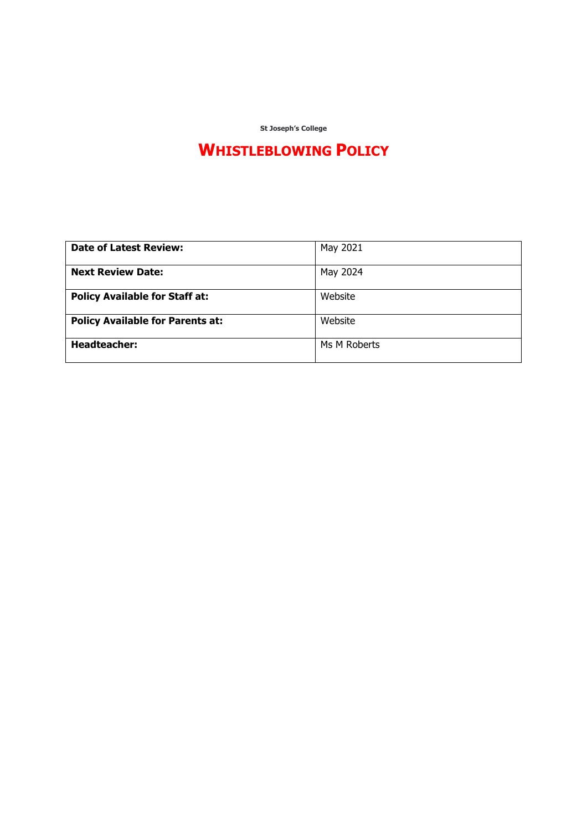**St Joseph's College**

## **WHISTLEBLOWING POLICY**

| <b>Date of Latest Review:</b>           | May 2021     |
|-----------------------------------------|--------------|
| <b>Next Review Date:</b>                | May 2024     |
| <b>Policy Available for Staff at:</b>   | Website      |
| <b>Policy Available for Parents at:</b> | Website      |
| <b>Headteacher:</b>                     | Ms M Roberts |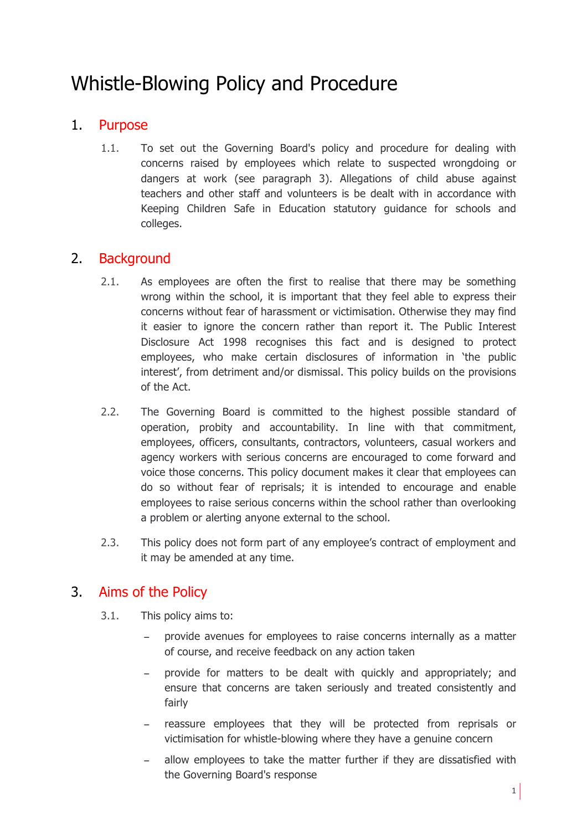# Whistle-Blowing Policy and Procedure

### 1. Purpose

1.1. To set out the Governing Board's policy and procedure for dealing with concerns raised by employees which relate to suspected wrongdoing or dangers at work (see paragraph 3). Allegations of child abuse against teachers and other staff and volunteers is be dealt with in accordance with Keeping Children Safe in Education statutory guidance for schools and colleges.

### 2. Background

- 2.1. As employees are often the first to realise that there may be something wrong within the school, it is important that they feel able to express their concerns without fear of harassment or victimisation. Otherwise they may find it easier to ignore the concern rather than report it. The Public Interest Disclosure Act 1998 recognises this fact and is designed to protect employees, who make certain disclosures of information in 'the public interest', from detriment and/or dismissal. This policy builds on the provisions of the Act.
- 2.2. The Governing Board is committed to the highest possible standard of operation, probity and accountability. In line with that commitment, employees, officers, consultants, contractors, volunteers, casual workers and agency workers with serious concerns are encouraged to come forward and voice those concerns. This policy document makes it clear that employees can do so without fear of reprisals; it is intended to encourage and enable employees to raise serious concerns within the school rather than overlooking a problem or alerting anyone external to the school.
- 2.3. This policy does not form part of any employee's contract of employment and it may be amended at any time.

### 3. Aims of the Policy

- 3.1. This policy aims to:
	- provide avenues for employees to raise concerns internally as a matter of course, and receive feedback on any action taken
	- provide for matters to be dealt with quickly and appropriately; and ensure that concerns are taken seriously and treated consistently and fairly
	- reassure employees that they will be protected from reprisals or victimisation for whistle-blowing where they have a genuine concern
	- allow employees to take the matter further if they are dissatisfied with the Governing Board's response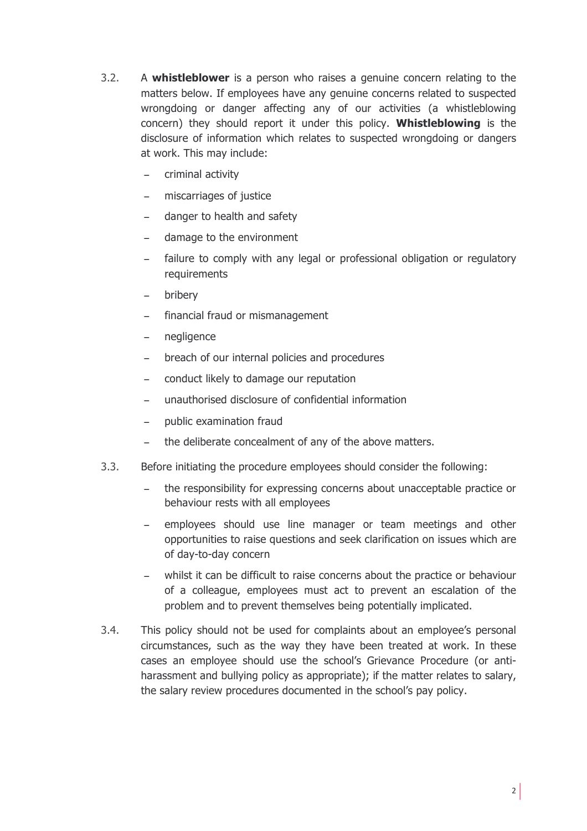- 3.2. A **whistleblower** is a person who raises a genuine concern relating to the matters below. If employees have any genuine concerns related to suspected wrongdoing or danger affecting any of our activities (a whistleblowing concern) they should report it under this policy. **Whistleblowing** is the disclosure of information which relates to suspected wrongdoing or dangers at work. This may include:
	- criminal activity
	- − miscarriages of justice
	- − danger to health and safety
	- − damage to the environment
	- failure to comply with any legal or professional obligation or regulatory requirements
	- − bribery
	- financial fraud or mismanagement
	- − negligence
	- − breach of our internal policies and procedures
	- conduct likely to damage our reputation
	- − unauthorised disclosure of confidential information
	- − public examination fraud
	- the deliberate concealment of any of the above matters.
- 3.3. Before initiating the procedure employees should consider the following:
	- − the responsibility for expressing concerns about unacceptable practice or behaviour rests with all employees
	- employees should use line manager or team meetings and other opportunities to raise questions and seek clarification on issues which are of day-to-day concern
	- whilst it can be difficult to raise concerns about the practice or behaviour of a colleague, employees must act to prevent an escalation of the problem and to prevent themselves being potentially implicated.
- 3.4. This policy should not be used for complaints about an employee's personal circumstances, such as the way they have been treated at work. In these cases an employee should use the school's Grievance Procedure (or antiharassment and bullying policy as appropriate); if the matter relates to salary, the salary review procedures documented in the school's pay policy.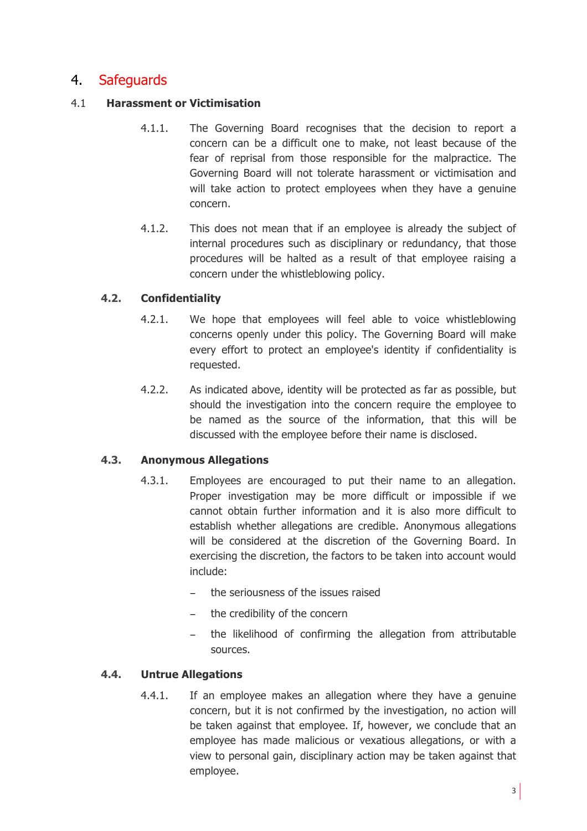### 4. Safeguards

#### 4.1 **Harassment or Victimisation**

- 4.1.1. The Governing Board recognises that the decision to report a concern can be a difficult one to make, not least because of the fear of reprisal from those responsible for the malpractice. The Governing Board will not tolerate harassment or victimisation and will take action to protect employees when they have a genuine concern.
- 4.1.2. This does not mean that if an employee is already the subject of internal procedures such as disciplinary or redundancy, that those procedures will be halted as a result of that employee raising a concern under the whistleblowing policy.

#### **4.2. Confidentiality**

- 4.2.1. We hope that employees will feel able to voice whistleblowing concerns openly under this policy. The Governing Board will make every effort to protect an employee's identity if confidentiality is requested.
- 4.2.2. As indicated above, identity will be protected as far as possible, but should the investigation into the concern require the employee to be named as the source of the information, that this will be discussed with the employee before their name is disclosed.

#### **4.3. Anonymous Allegations**

- 4.3.1. Employees are encouraged to put their name to an allegation. Proper investigation may be more difficult or impossible if we cannot obtain further information and it is also more difficult to establish whether allegations are credible. Anonymous allegations will be considered at the discretion of the Governing Board. In exercising the discretion, the factors to be taken into account would include:
	- the seriousness of the issues raised
	- the credibility of the concern
	- − the likelihood of confirming the allegation from attributable sources.

#### **4.4. Untrue Allegations**

4.4.1. If an employee makes an allegation where they have a genuine concern, but it is not confirmed by the investigation, no action will be taken against that employee. If, however, we conclude that an employee has made malicious or vexatious allegations, or with a view to personal gain, disciplinary action may be taken against that employee.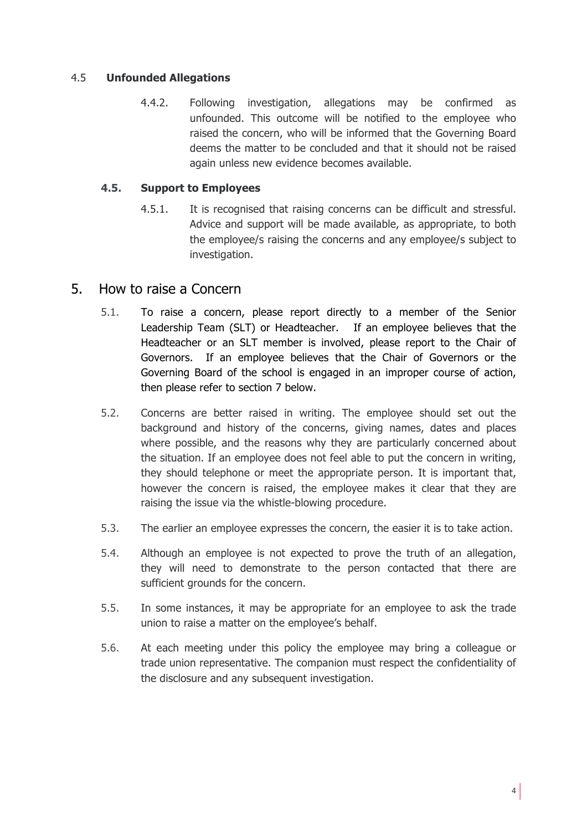#### 4.5 **Unfounded Allegations**

4.4.2. Following investigation, allegations may be confirmed as unfounded. This outcome will be notified to the employee who raised the concern, who will be informed that the Governing Board deems the matter to be concluded and that it should not be raised again unless new evidence becomes available.

#### **4.5. Support to Employees**

4.5.1. It is recognised that raising concerns can be difficult and stressful. Advice and support will be made available, as appropriate, to both the employee/s raising the concerns and any employee/s subject to investigation.

#### 5. How to raise a Concern

- 5.1. To raise a concern, please report directly to a member of the Senior Leadership Team (SLT) or Headteacher. If an employee believes that the Headteacher or an SLT member is involved, please report to the Chair of Governors. If an employee believes that the Chair of Governors or the Governing Board of the school is engaged in an improper course of action, then please refer to section 7 below.
- 5.2. Concerns are better raised in writing. The employee should set out the background and history of the concerns, giving names, dates and places where possible, and the reasons why they are particularly concerned about the situation. If an employee does not feel able to put the concern in writing, they should telephone or meet the appropriate person. It is important that, however the concern is raised, the employee makes it clear that they are raising the issue via the whistle-blowing procedure.
- 5.3. The earlier an employee expresses the concern, the easier it is to take action.
- 5.4. Although an employee is not expected to prove the truth of an allegation, they will need to demonstrate to the person contacted that there are sufficient grounds for the concern.
- 5.5. In some instances, it may be appropriate for an employee to ask the trade union to raise a matter on the employee's behalf.
- 5.6. At each meeting under this policy the employee may bring a colleague or trade union representative. The companion must respect the confidentiality of the disclosure and any subsequent investigation.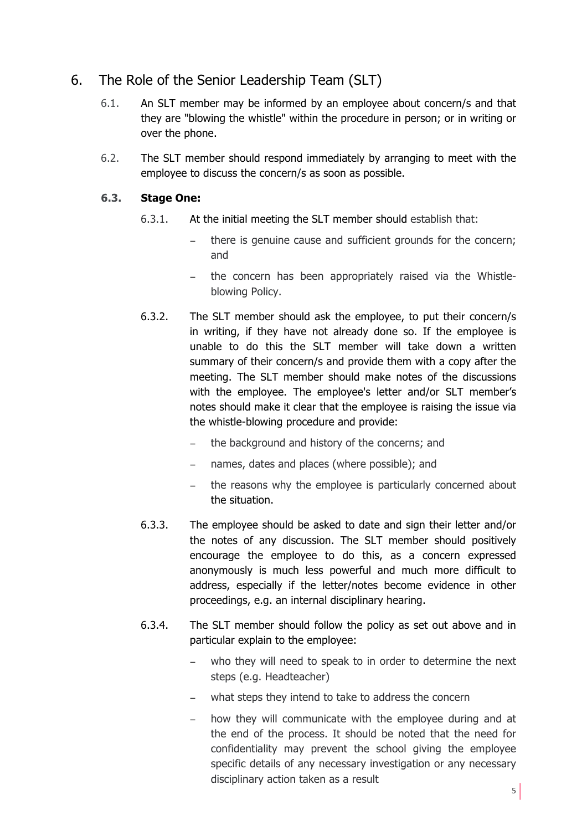### 6. The Role of the Senior Leadership Team (SLT)

- 6.1. An SLT member may be informed by an employee about concern/s and that they are "blowing the whistle" within the procedure in person; or in writing or over the phone.
- 6.2. The SLT member should respond immediately by arranging to meet with the employee to discuss the concern/s as soon as possible.

#### **6.3. Stage One:**

- 6.3.1. At the initial meeting the SLT member should establish that:
	- − there is genuine cause and sufficient grounds for the concern; and
	- the concern has been appropriately raised via the Whistleblowing Policy.
- 6.3.2. The SLT member should ask the employee, to put their concern/s in writing, if they have not already done so. If the employee is unable to do this the SLT member will take down a written summary of their concern/s and provide them with a copy after the meeting. The SLT member should make notes of the discussions with the employee. The employee's letter and/or SLT member's notes should make it clear that the employee is raising the issue via the whistle-blowing procedure and provide:
	- the background and history of the concerns; and
	- names, dates and places (where possible); and
	- the reasons why the employee is particularly concerned about the situation.
- 6.3.3. The employee should be asked to date and sign their letter and/or the notes of any discussion. The SLT member should positively encourage the employee to do this, as a concern expressed anonymously is much less powerful and much more difficult to address, especially if the letter/notes become evidence in other proceedings, e.g. an internal disciplinary hearing.
- 6.3.4. The SLT member should follow the policy as set out above and in particular explain to the employee:
	- − who they will need to speak to in order to determine the next steps (e.g. Headteacher)
	- what steps they intend to take to address the concern
	- how they will communicate with the employee during and at the end of the process. It should be noted that the need for confidentiality may prevent the school giving the employee specific details of any necessary investigation or any necessary disciplinary action taken as a result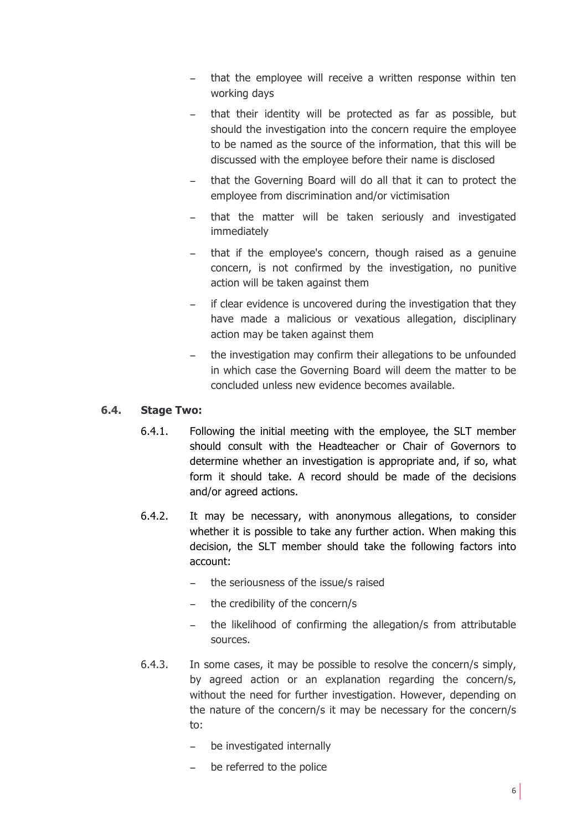- that the employee will receive a written response within ten working days
- that their identity will be protected as far as possible, but should the investigation into the concern require the employee to be named as the source of the information, that this will be discussed with the employee before their name is disclosed
- − that the Governing Board will do all that it can to protect the employee from discrimination and/or victimisation
- that the matter will be taken seriously and investigated immediately
- that if the employee's concern, though raised as a genuine concern, is not confirmed by the investigation, no punitive action will be taken against them
- − if clear evidence is uncovered during the investigation that they have made a malicious or vexatious allegation, disciplinary action may be taken against them
- the investigation may confirm their allegations to be unfounded in which case the Governing Board will deem the matter to be concluded unless new evidence becomes available.

#### **6.4. Stage Two:**

- 6.4.1. Following the initial meeting with the employee, the SLT member should consult with the Headteacher or Chair of Governors to determine whether an investigation is appropriate and, if so, what form it should take. A record should be made of the decisions and/or agreed actions.
- 6.4.2. It may be necessary, with anonymous allegations, to consider whether it is possible to take any further action. When making this decision, the SLT member should take the following factors into account:
	- − the seriousness of the issue/s raised
	- the credibility of the concern/s
	- the likelihood of confirming the allegation/s from attributable sources.
- 6.4.3. In some cases, it may be possible to resolve the concern/s simply, by agreed action or an explanation regarding the concern/s, without the need for further investigation. However, depending on the nature of the concern/s it may be necessary for the concern/s to:
	- be investigated internally
	- be referred to the police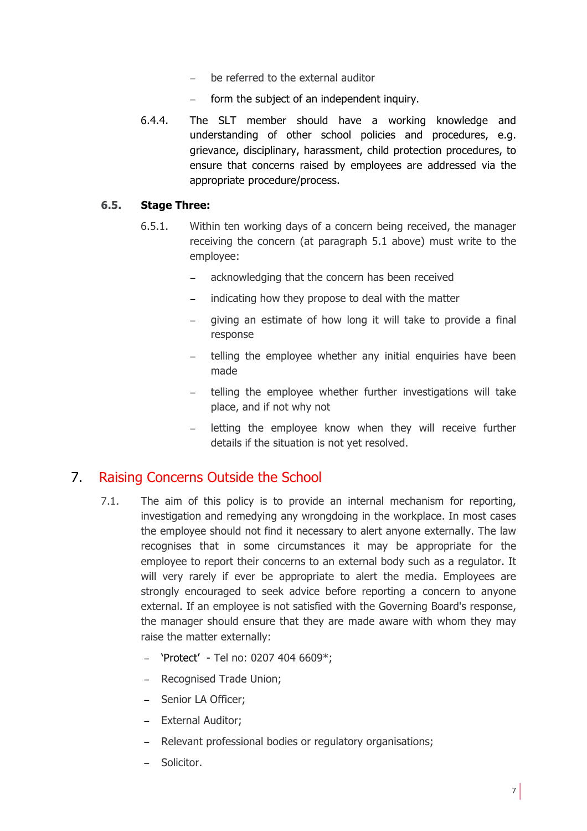- be referred to the external auditor
- form the subject of an independent inquiry.
- 6.4.4. The SLT member should have a working knowledge and understanding of other school policies and procedures, e.g. grievance, disciplinary, harassment, child protection procedures, to ensure that concerns raised by employees are addressed via the appropriate procedure/process.

#### **6.5. Stage Three:**

- 6.5.1. Within ten working days of a concern being received, the manager receiving the concern (at paragraph 5.1 above) must write to the employee:
	- − acknowledging that the concern has been received
	- indicating how they propose to deal with the matter
	- giving an estimate of how long it will take to provide a final response
	- telling the employee whether any initial enquiries have been made
	- − telling the employee whether further investigations will take place, and if not why not
	- letting the employee know when they will receive further details if the situation is not yet resolved.

### 7. Raising Concerns Outside the School

- 7.1. The aim of this policy is to provide an internal mechanism for reporting, investigation and remedying any wrongdoing in the workplace. In most cases the employee should not find it necessary to alert anyone externally. The law recognises that in some circumstances it may be appropriate for the employee to report their concerns to an external body such as a regulator. It will very rarely if ever be appropriate to alert the media. Employees are strongly encouraged to seek advice before reporting a concern to anyone external. If an employee is not satisfied with the Governing Board's response, the manager should ensure that they are made aware with whom they may raise the matter externally:
	- − 'Protect' Tel no: 0207 404 6609\*;
	- − Recognised Trade Union;
	- − Senior LA Officer;
	- − External Auditor;
	- − Relevant professional bodies or regulatory organisations;
	- − Solicitor.